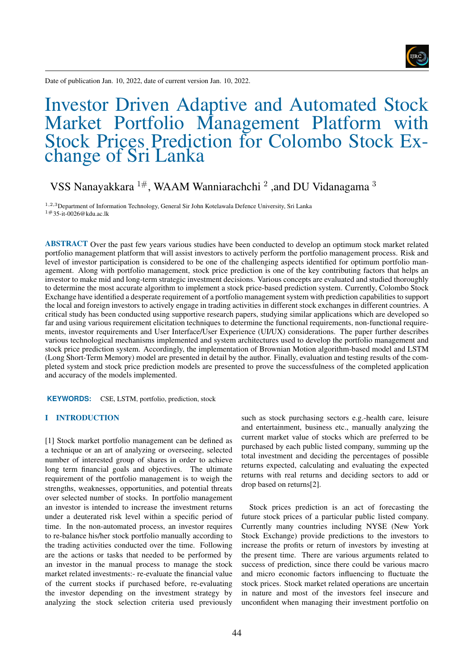IJRČ

Date of publication Jan. 10, 2022, date of current version Jan. 10, 2022.

# Investor Driven Adaptive and Automated Stock Market Portfolio Management Platform with Stock Prices Prediction for Colombo Stock Exchange of Sri Lanka

# VSS Nanayakkara  $^{1\#}$ , WAAM Wanniarachchi  $^2$  ,and DU Vidanagama  $^3$

<sup>1</sup>,2,3Department of Information Technology, General Sir John Kotelawala Defence University, Sri Lanka 1#35-it-0026@kdu.ac.lk

ABSTRACT Over the past few years various studies have been conducted to develop an optimum stock market related portfolio management platform that will assist investors to actively perform the portfolio management process. Risk and level of investor participation is considered to be one of the challenging aspects identified for optimum portfolio management. Along with portfolio management, stock price prediction is one of the key contributing factors that helps an investor to make mid and long-term strategic investment decisions. Various concepts are evaluated and studied thoroughly to determine the most accurate algorithm to implement a stock price-based prediction system. Currently, Colombo Stock Exchange have identified a desperate requirement of a portfolio management system with prediction capabilities to support the local and foreign investors to actively engage in trading activities in different stock exchanges in different countries. A critical study has been conducted using supportive research papers, studying similar applications which are developed so far and using various requirement elicitation techniques to determine the functional requirements, non-functional requirements, investor requirements and User Interface/User Experience (UI/UX) considerations. The paper further describes various technological mechanisms implemented and system architectures used to develop the portfolio management and stock price prediction system. Accordingly, the implementation of Brownian Motion algorithm-based model and LSTM (Long Short-Term Memory) model are presented in detail by the author. Finally, evaluation and testing results of the completed system and stock price prediction models are presented to prove the successfulness of the completed application and accuracy of the models implemented.

**KEYWORDS:** CSE, LSTM, portfolio, prediction, stock

# I INTRODUCTION

[1] Stock market portfolio management can be defined as a technique or an art of analyzing or overseeing, selected number of interested group of shares in order to achieve long term financial goals and objectives. The ultimate requirement of the portfolio management is to weigh the strengths, weaknesses, opportunities, and potential threats over selected number of stocks. In portfolio management an investor is intended to increase the investment returns under a deuterated risk level within a specific period of time. In the non-automated process, an investor requires to re-balance his/her stock portfolio manually according to the trading activities conducted over the time. Following are the actions or tasks that needed to be performed by an investor in the manual process to manage the stock market related investments:- re-evaluate the financial value of the current stocks if purchased before, re-evaluating the investor depending on the investment strategy by analyzing the stock selection criteria used previously

such as stock purchasing sectors e.g.-health care, leisure and entertainment, business etc., manually analyzing the current market value of stocks which are preferred to be purchased by each public listed company, summing up the total investment and deciding the percentages of possible returns expected, calculating and evaluating the expected returns with real returns and deciding sectors to add or drop based on returns[2].

Stock prices prediction is an act of forecasting the future stock prices of a particular public listed company. Currently many countries including NYSE (New York Stock Exchange) provide predictions to the investors to increase the profits or return of investors by investing at the present time. There are various arguments related to success of prediction, since there could be various macro and micro economic factors influencing to fluctuate the stock prices. Stock market related operations are uncertain in nature and most of the investors feel insecure and unconfident when managing their investment portfolio on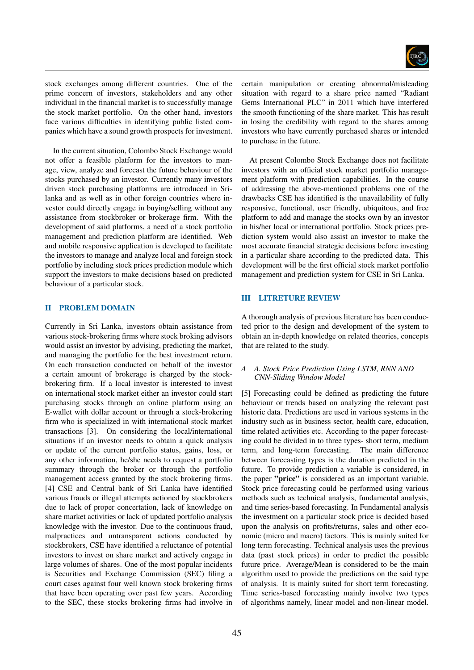

stock exchanges among different countries. One of the prime concern of investors, stakeholders and any other individual in the financial market is to successfully manage the stock market portfolio. On the other hand, investors face various difficulties in identifying public listed companies which have a sound growth prospects for investment.

In the current situation, Colombo Stock Exchange would not offer a feasible platform for the investors to manage, view, analyze and forecast the future behaviour of the stocks purchased by an investor. Currently many investors driven stock purchasing platforms are introduced in Srilanka and as well as in other foreign countries where investor could directly engage in buying/selling without any assistance from stockbroker or brokerage firm. With the development of said platforms, a need of a stock portfolio management and prediction platform are identified. Web and mobile responsive application is developed to facilitate the investors to manage and analyze local and foreign stock portfolio by including stock prices prediction module which support the investors to make decisions based on predicted behaviour of a particular stock.

# II PROBLEM DOMAIN

Currently in Sri Lanka, investors obtain assistance from various stock-brokering firms where stock broking advisors would assist an investor by advising, predicting the market, and managing the portfolio for the best investment return. On each transaction conducted on behalf of the investor a certain amount of brokerage is charged by the stockbrokering firm. If a local investor is interested to invest on international stock market either an investor could start purchasing stocks through an online platform using an E-wallet with dollar account or through a stock-brokering firm who is specialized in with international stock market transactions [3]. On considering the local/international situations if an investor needs to obtain a quick analysis or update of the current portfolio status, gains, loss, or any other information, he/she needs to request a portfolio summary through the broker or through the portfolio management access granted by the stock brokering firms. [4] CSE and Central bank of Sri Lanka have identified various frauds or illegal attempts actioned by stockbrokers due to lack of proper concertation, lack of knowledge on share market activities or lack of updated portfolio analysis knowledge with the investor. Due to the continuous fraud, malpractices and untransparent actions conducted by stockbrokers, CSE have identified a reluctance of potential investors to invest on share market and actively engage in large volumes of shares. One of the most popular incidents is Securities and Exchange Commission (SEC) filing a court cases against four well known stock brokering firms that have been operating over past few years. According to the SEC, these stocks brokering firms had involve in certain manipulation or creating abnormal/misleading situation with regard to a share price named "Radiant Gems International PLC" in 2011 which have interfered the smooth functioning of the share market. This has result in losing the credibility with regard to the shares among investors who have currently purchased shares or intended to purchase in the future.

At present Colombo Stock Exchange does not facilitate investors with an official stock market portfolio management platform with prediction capabilities. In the course of addressing the above-mentioned problems one of the drawbacks CSE has identified is the unavailability of fully responsive, functional, user friendly, ubiquitous, and free platform to add and manage the stocks own by an investor in his/her local or international portfolio. Stock prices prediction system would also assist an investor to make the most accurate financial strategic decisions before investing in a particular share according to the predicted data. This development will be the first official stock market portfolio management and prediction system for CSE in Sri Lanka.

# III LITRETURE REVIEW

A thorough analysis of previous literature has been conducted prior to the design and development of the system to obtain an in-depth knowledge on related theories, concepts that are related to the study.

# *A A. Stock Price Prediction Using LSTM, RNN AND CNN-Sliding Window Model*

[5] Forecasting could be defined as predicting the future behaviour or trends based on analyzing the relevant past historic data. Predictions are used in various systems in the industry such as in business sector, health care, education, time related activities etc. According to the paper forecasting could be divided in to three types- short term, medium term, and long-term forecasting. The main difference between forecasting types is the duration predicted in the future. To provide prediction a variable is considered, in the paper "price" is considered as an important variable. Stock price forecasting could be performed using various methods such as technical analysis, fundamental analysis, and time series-based forecasting. In Fundamental analysis the investment on a particular stock price is decided based upon the analysis on profits/returns, sales and other economic (micro and macro) factors. This is mainly suited for long term forecasting. Technical analysis uses the previous data (past stock prices) in order to predict the possible future price. Average/Mean is considered to be the main algorithm used to provide the predictions on the said type of analysis. It is mainly suited for short term forecasting. Time series-based forecasting mainly involve two types of algorithms namely, linear model and non-linear model.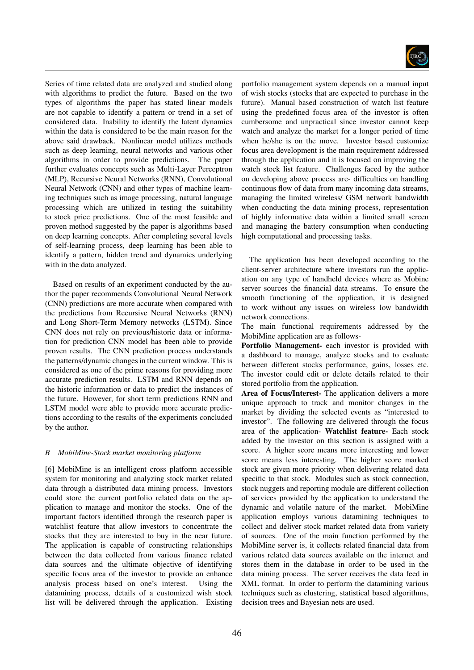

Series of time related data are analyzed and studied along with algorithms to predict the future. Based on the two types of algorithms the paper has stated linear models are not capable to identify a pattern or trend in a set of considered data. Inability to identify the latent dynamics within the data is considered to be the main reason for the above said drawback. Nonlinear model utilizes methods such as deep learning, neural networks and various other algorithms in order to provide predictions. The paper further evaluates concepts such as Multi-Layer Perceptron (MLP), Recursive Neural Networks (RNN), Convolutional Neural Network (CNN) and other types of machine learning techniques such as image processing, natural language processing which are utilized in testing the suitability to stock price predictions. One of the most feasible and proven method suggested by the paper is algorithms based on deep learning concepts. After completing several levels of self-learning process, deep learning has been able to identify a pattern, hidden trend and dynamics underlying with in the data analyzed.

Based on results of an experiment conducted by the author the paper recommends Convolutional Neural Network (CNN) predictions are more accurate when compared with the predictions from Recursive Neural Networks (RNN) and Long Short-Term Memory networks (LSTM). Since CNN does not rely on previous/historic data or information for prediction CNN model has been able to provide proven results. The CNN prediction process understands the patterns/dynamic changes in the current window. This is considered as one of the prime reasons for providing more accurate prediction results. LSTM and RNN depends on the historic information or data to predict the instances of the future. However, for short term predictions RNN and LSTM model were able to provide more accurate predictions according to the results of the experiments concluded by the author.

## *B MobiMine-Stock market monitoring platform*

[6] MobiMine is an intelligent cross platform accessible system for monitoring and analyzing stock market related data through a distributed data mining process. Investors could store the current portfolio related data on the application to manage and monitor the stocks. One of the important factors identified through the research paper is watchlist feature that allow investors to concentrate the stocks that they are interested to buy in the near future. The application is capable of constructing relationships between the data collected from various finance related data sources and the ultimate objective of identifying specific focus area of the investor to provide an enhance analysis process based on one's interest. Using the datamining process, details of a customized wish stock list will be delivered through the application. Existing portfolio management system depends on a manual input of wish stocks (stocks that are expected to purchase in the future). Manual based construction of watch list feature using the predefined focus area of the investor is often cumbersome and unpractical since investor cannot keep watch and analyze the market for a longer period of time when he/she is on the move. Investor based customize focus area development is the main requirement addressed through the application and it is focused on improving the watch stock list feature. Challenges faced by the author on developing above process are- difficulties on handling continuous flow of data from many incoming data streams, managing the limited wireless/ GSM network bandwidth when conducting the data mining process, representation of highly informative data within a limited small screen and managing the battery consumption when conducting high computational and processing tasks.

The application has been developed according to the client-server architecture where investors run the application on any type of handheld devices where as Mobine server sources the financial data streams. To ensure the smooth functioning of the application, it is designed to work without any issues on wireless low bandwidth network connections.

The main functional requirements addressed by the MobiMine application are as follows-

Portfolio Management- each investor is provided with a dashboard to manage, analyze stocks and to evaluate between different stocks performance, gains, losses etc. The investor could edit or delete details related to their stored portfolio from the application.

Area of Focus/Interest- The application delivers a more unique approach to track and monitor changes in the market by dividing the selected events as "interested to investor". The following are delivered through the focus area of the application- Watchlist feature- Each stock added by the investor on this section is assigned with a score. A higher score means more interesting and lower score means less interesting. The higher score marked stock are given more priority when delivering related data specific to that stock. Modules such as stock connection, stock nuggets and reporting module are different collection of services provided by the application to understand the dynamic and volatile nature of the market. MobiMine application employs various datamining techniques to collect and deliver stock market related data from variety of sources. One of the main function performed by the MobiMine server is, it collects related financial data from various related data sources available on the internet and stores them in the database in order to be used in the data mining process. The server receives the data feed in XML format. In order to perform the datamining various techniques such as clustering, statistical based algorithms, decision trees and Bayesian nets are used.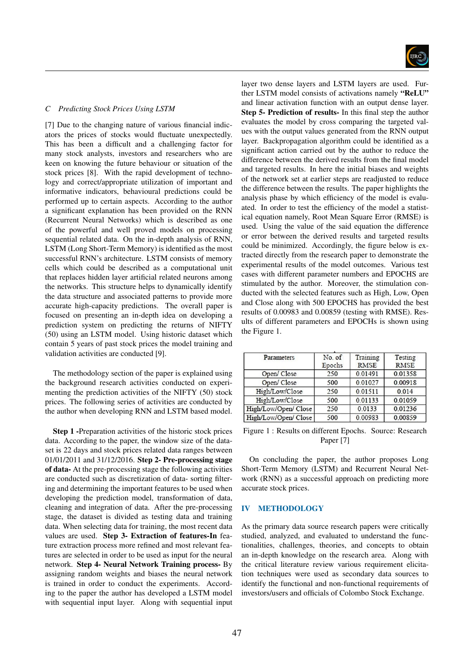

# *C Predicting Stock Prices Using LSTM*

[7] Due to the changing nature of various financial indicators the prices of stocks would fluctuate unexpectedly. This has been a difficult and a challenging factor for many stock analysts, investors and researchers who are keen on knowing the future behaviour or situation of the stock prices [8]. With the rapid development of technology and correct/appropriate utilization of important and informative indicators, behavioural predictions could be performed up to certain aspects. According to the author a significant explanation has been provided on the RNN (Recurrent Neural Networks) which is described as one of the powerful and well proved models on processing sequential related data. On the in-depth analysis of RNN, LSTM (Long Short-Term Memory) is identified as the most successful RNN's architecture. LSTM consists of memory cells which could be described as a computational unit that replaces hidden layer artificial related neurons among the networks. This structure helps to dynamically identify the data structure and associated patterns to provide more accurate high-capacity predictions. The overall paper is focused on presenting an in-depth idea on developing a prediction system on predicting the returns of NIFTY (50) using an LSTM model. Using historic dataset which contain 5 years of past stock prices the model training and validation activities are conducted [9].

The methodology section of the paper is explained using the background research activities conducted on experimenting the prediction activities of the NIFTY (50) stock prices. The following series of activities are conducted by the author when developing RNN and LSTM based model.

Step 1 -Preparation activities of the historic stock prices data. According to the paper, the window size of the dataset is 22 days and stock prices related data ranges between 01/01/2011 and 31/12/2016. Step 2- Pre-processing stage of data- At the pre-processing stage the following activities are conducted such as discretization of data- sorting filtering and determining the important features to be used when developing the prediction model, transformation of data, cleaning and integration of data. After the pre-processing stage, the dataset is divided as testing data and training data. When selecting data for training, the most recent data values are used. Step 3- Extraction of features-In feature extraction process more refined and most relevant features are selected in order to be used as input for the neural network. Step 4- Neural Network Training process- By assigning random weights and biases the neural network is trained in order to conduct the experiments. According to the paper the author has developed a LSTM model with sequential input layer. Along with sequential input

layer two dense layers and LSTM layers are used. Further LSTM model consists of activations namely "ReLU" and linear activation function with an output dense layer. Step 5- Prediction of results- In this final step the author evaluates the model by cross comparing the targeted values with the output values generated from the RNN output layer. Backpropagation algorithm could be identified as a significant action carried out by the author to reduce the difference between the derived results from the final model and targeted results. In here the initial biases and weights of the network set at earlier steps are readjusted to reduce the difference between the results. The paper highlights the analysis phase by which efficiency of the model is evaluated. In order to test the efficiency of the model a statistical equation namely, Root Mean Square Error (RMSE) is used. Using the value of the said equation the difference or error between the derived results and targeted results could be minimized. Accordingly, the figure below is extracted directly from the research paper to demonstrate the experimental results of the model outcomes. Various test cases with different parameter numbers and EPOCHS are stimulated by the author. Moreover, the stimulation conducted with the selected features such as High, Low, Open and Close along with 500 EPOCHS has provided the best results of 0.00983 and 0.00859 (testing with RMSE). Results of different parameters and EPOCHs is shown using the Figure 1.

| Parameters           | No. of<br>Epochs | Training<br><b>RMSE</b> | Testing<br><b>RMSE</b> |
|----------------------|------------------|-------------------------|------------------------|
| Open/Close           | 250              | 0.01491                 | 0.01358                |
| Open/Close           | 500              | 0.01027                 | 0.00918                |
| High/Low/Close       | 250              | 0.01511                 | 0.014                  |
| High/Low/Close       | 500              | 0.01133                 | 0.01059                |
| High/Low/Open/ Close | 250              | 0.0133                  | 0.01236                |
| High/Low/Open/ Close | 500              | 0.00983                 | 0.00859                |

Figure 1 : Results on different Epochs. Source: Research Paper [7]

On concluding the paper, the author proposes Long Short-Term Memory (LSTM) and Recurrent Neural Network (RNN) as a successful approach on predicting more accurate stock prices.

#### IV METHODOLOGY

As the primary data source research papers were critically studied, analyzed, and evaluated to understand the functionalities, challenges, theories, and concepts to obtain an in-depth knowledge on the research area. Along with the critical literature review various requirement elicitation techniques were used as secondary data sources to identify the functional and non-functional requirements of investors/users and officials of Colombo Stock Exchange.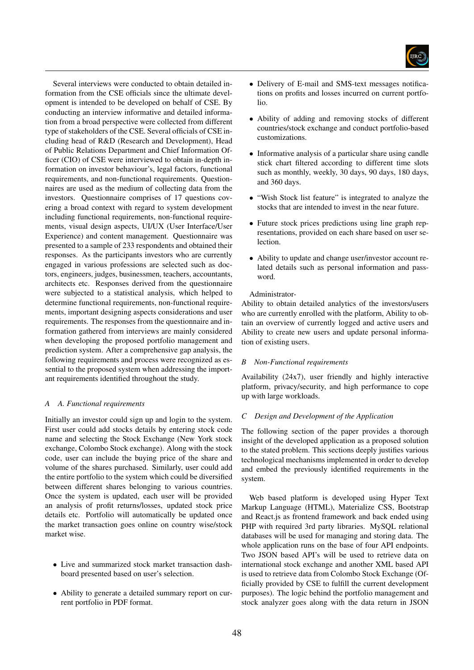

Several interviews were conducted to obtain detailed information from the CSE officials since the ultimate development is intended to be developed on behalf of CSE. By conducting an interview informative and detailed information from a broad perspective were collected from different type of stakeholders of the CSE. Several officials of CSE including head of R&D (Research and Development), Head of Public Relations Department and Chief Information Officer (CIO) of CSE were interviewed to obtain in-depth information on investor behaviour's, legal factors, functional requirements, and non-functional requirements. Questionnaires are used as the medium of collecting data from the investors. Questionnaire comprises of 17 questions covering a broad context with regard to system development including functional requirements, non-functional requirements, visual design aspects, UI/UX (User Interface/User Experience) and content management. Questionnaire was presented to a sample of 233 respondents and obtained their responses. As the participants investors who are currently engaged in various professions are selected such as doctors, engineers, judges, businessmen, teachers, accountants, architects etc. Responses derived from the questionnaire were subjected to a statistical analysis, which helped to determine functional requirements, non-functional requirements, important designing aspects considerations and user requirements. The responses from the questionnaire and information gathered from interviews are mainly considered when developing the proposed portfolio management and prediction system. After a comprehensive gap analysis, the following requirements and process were recognized as essential to the proposed system when addressing the important requirements identified throughout the study.

# *A A. Functional requirements*

Initially an investor could sign up and login to the system. First user could add stocks details by entering stock code name and selecting the Stock Exchange (New York stock exchange, Colombo Stock exchange). Along with the stock code, user can include the buying price of the share and volume of the shares purchased. Similarly, user could add the entire portfolio to the system which could be diversified between different shares belonging to various countries. Once the system is updated, each user will be provided an analysis of profit returns/losses, updated stock price details etc. Portfolio will automatically be updated once the market transaction goes online on country wise/stock market wise.

- Live and summarized stock market transaction dashboard presented based on user's selection.
- Ability to generate a detailed summary report on current portfolio in PDF format.
- Delivery of E-mail and SMS-text messages notifications on profits and losses incurred on current portfolio.
- Ability of adding and removing stocks of different countries/stock exchange and conduct portfolio-based customizations.
- Informative analysis of a particular share using candle stick chart filtered according to different time slots such as monthly, weekly, 30 days, 90 days, 180 days, and 360 days.
- "Wish Stock list feature" is integrated to analyze the stocks that are intended to invest in the near future.
- Future stock prices predictions using line graph representations, provided on each share based on user selection.
- Ability to update and change user/investor account related details such as personal information and password.

# Administrator-

Ability to obtain detailed analytics of the investors/users who are currently enrolled with the platform, Ability to obtain an overview of currently logged and active users and Ability to create new users and update personal information of existing users.

## *B Non-Functional requirements*

Availability (24x7), user friendly and highly interactive platform, privacy/security, and high performance to cope up with large workloads.

## *C Design and Development of the Application*

The following section of the paper provides a thorough insight of the developed application as a proposed solution to the stated problem. This sections deeply justifies various technological mechanisms implemented in order to develop and embed the previously identified requirements in the system.

Web based platform is developed using Hyper Text Markup Language (HTML), Materialize CSS, Bootstrap and React.js as frontend framework and back ended using PHP with required 3rd party libraries. MySQL relational databases will be used for managing and storing data. The whole application runs on the base of four API endpoints. Two JSON based API's will be used to retrieve data on international stock exchange and another XML based API is used to retrieve data from Colombo Stock Exchange (Officially provided by CSE to fulfill the current development purposes). The logic behind the portfolio management and stock analyzer goes along with the data return in JSON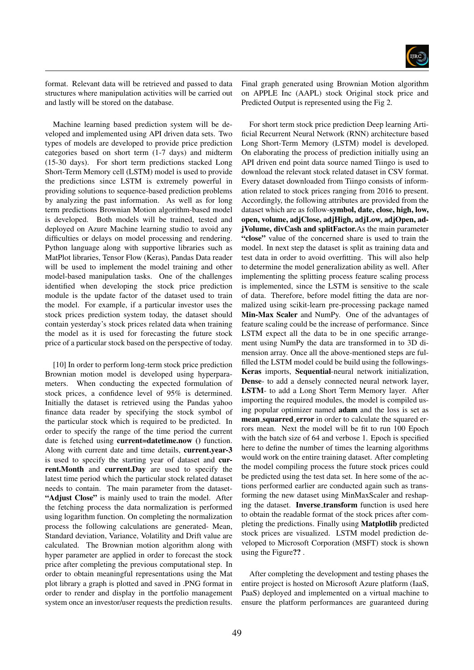

format. Relevant data will be retrieved and passed to data structures where manipulation activities will be carried out and lastly will be stored on the database.

Machine learning based prediction system will be developed and implemented using API driven data sets. Two types of models are developed to provide price prediction categories based on short term (1-7 days) and midterm (15-30 days). For short term predictions stacked Long Short-Term Memory cell (LSTM) model is used to provide the predictions since LSTM is extremely powerful in providing solutions to sequence-based prediction problems by analyzing the past information. As well as for long term predictions Brownian Motion algorithm-based model is developed. Both models will be trained, tested and deployed on Azure Machine learning studio to avoid any difficulties or delays on model processing and rendering. Python language along with supportive libraries such as MatPlot libraries, Tensor Flow (Keras), Pandas Data reader will be used to implement the model training and other model-based manipulation tasks. One of the challenges identified when developing the stock price prediction module is the update factor of the dataset used to train the model. For example, if a particular investor uses the stock prices prediction system today, the dataset should contain yesterday's stock prices related data when training the model as it is used for forecasting the future stock price of a particular stock based on the perspective of today.

[10] In order to perform long-term stock price prediction Brownian motion model is developed using hyperparameters. When conducting the expected formulation of stock prices, a confidence level of 95% is determined. Initially the dataset is retrieved using the Pandas yahoo finance data reader by specifying the stock symbol of the particular stock which is required to be predicted. In order to specify the range of the time period the current date is fetched using **current=datetime.now** () function. Along with current date and time details, current.year-3 is used to specify the starting year of dataset and current.Month and current.Day are used to specify the latest time period which the particular stock related dataset needs to contain. The main parameter from the dataset- "Adjust Close" is mainly used to train the model. After the fetching process the data normalization is performed using logarithm function. On completing the normalization process the following calculations are generated- Mean, Standard deviation, Variance, Volatility and Drift value are calculated. The Brownian motion algorithm along with hyper parameter are applied in order to forecast the stock price after completing the previous computational step. In order to obtain meaningful representations using the Mat plot library a graph is plotted and saved in .PNG format in order to render and display in the portfolio management system once an investor/user requests the prediction results.

Final graph generated using Brownian Motion algorithm on APPLE Inc (AAPL) stock Original stock price and Predicted Output is represented using the Fig 2.

For short term stock price prediction Deep learning Artificial Recurrent Neural Network (RNN) architecture based Long Short-Term Memory (LSTM) model is developed. On elaborating the process of prediction initially using an API driven end point data source named Tiingo is used to download the relevant stock related dataset in CSV format. Every dataset downloaded from Tiingo consists of information related to stock prices ranging from 2016 to present. Accordingly, the following attributes are provided from the dataset which are as follow-symbol, date, close, high, low, open, volume, adjClose, adjHigh, adjLow, adjOpen, adjVolume, divCash and splitFactor.As the main parameter "close" value of the concerned share is used to train the model. In next step the dataset is split as training data and test data in order to avoid overfitting. This will also help to determine the model generalization ability as well. After implementing the splitting process feature scaling process is implemented, since the LSTM is sensitive to the scale of data. Therefore, before model fitting the data are normalized using scikit-learn pre-processing package named Min-Max Scaler and NumPy. One of the advantages of feature scaling could be the increase of performance. Since LSTM expect all the data to be in one specific arrangement using NumPy the data are transformed in to 3D dimension array. Once all the above-mentioned steps are fulfilled the LSTM model could be build using the followings-Keras imports, Sequential-neural network initialization, Dense- to add a densely connected neural network layer, LSTM- to add a Long Short Term Memory layer. After importing the required modules, the model is compiled using popular optimizer named adam and the loss is set as mean squarred error in order to calculate the squared errors mean. Next the model will be fit to run 100 Epoch with the batch size of 64 and verbose 1. Epoch is specified here to define the number of times the learning algorithms would work on the entire training dataset. After completing the model compiling process the future stock prices could be predicted using the test data set. In here some of the actions performed earlier are conducted again such as transforming the new dataset using MinMaxScaler and reshaping the dataset. Inverse\_transform function is used here to obtain the readable format of the stock prices after completing the predictions. Finally using Matplotlib predicted stock prices are visualized. LSTM model prediction developed to Microsoft Corporation (MSFT) stock is shown using the Figure?? .

After completing the development and testing phases the entire project is hosted on Microsoft Azure platform (IaaS, PaaS) deployed and implemented on a virtual machine to ensure the platform performances are guaranteed during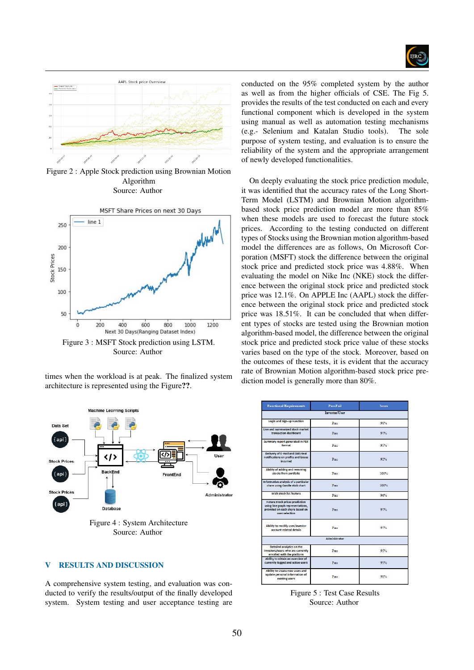



Figure 2 : Apple Stock prediction using Brownian Motion Algorithm Source: Author



times when the workload is at peak. The finalized system architecture is represented using the Figure??.



Source: Author

# V RESULTS AND DISCUSSION

A comprehensive system testing, and evaluation was conducted to verify the results/output of the finally developed system. System testing and user acceptance testing are

conducted on the 95% completed system by the author as well as from the higher officials of CSE. The Fig 5. provides the results of the test conducted on each and every functional component which is developed in the system using manual as well as automation testing mechanisms (e.g.- Selenium and Katalan Studio tools). The sole purpose of system testing, and evaluation is to ensure the reliability of the system and the appropriate arrangement of newly developed functionalities.

On deeply evaluating the stock price prediction module, it was identified that the accuracy rates of the Long Short-Term Model (LSTM) and Brownian Motion algorithmbased stock price prediction model are more than 85% when these models are used to forecast the future stock prices. According to the testing conducted on different types of Stocks using the Brownian motion algorithm-based model the differences are as follows, On Microsoft Corporation (MSFT) stock the difference between the original stock price and predicted stock price was 4.88%. When evaluating the model on Nike Inc (NKE) stock the difference between the original stock price and predicted stock price was 12.1%. On APPLE Inc (AAPL) stock the difference between the original stock price and predicted stock price was 18.51%. It can be concluded that when different types of stocks are tested using the Brownian motion algorithm-based model, the difference between the original stock price and predicted stock price value of these stocks varies based on the type of the stock. Moreover, based on the outcomes of these tests, it is evident that the accuracy rate of Brownian Motion algorithm-based stock price prediction model is generally more than 80%.

| <b>Functional Requirements</b>                                                                                                  | Pass.Fail            | <b>Score</b> |
|---------------------------------------------------------------------------------------------------------------------------------|----------------------|--------------|
|                                                                                                                                 | Investor/User        |              |
| Login and Sign-up Function                                                                                                      | Pass                 | 98%          |
| Live and summarized stock market<br>transaction dashboard                                                                       | Pass                 | 97%          |
| <b>Summary report generated in PDF</b><br>format                                                                                | Pass                 | 95%          |
| Delivery of E-mail and SMS-text<br>notifications on profits and losses<br>incurred                                              | Pass                 | 92%          |
| Ability of adding and removing<br>stocks from portfolio                                                                         | Pass                 | 100%         |
| Informative analysis of a particular<br>share using Candle stick chart                                                          | Pace                 | 100%         |
| Wish Stock list feature                                                                                                         | $P_{\text{max}}$     | 96%          |
| <b>Future Stock prices prediction</b><br>using line graph representations,<br>provided on each share based on<br>user selection | Pass                 | 97%          |
| Ability to modify user/investor<br>account related details                                                                      | $P_{\text{max}}$     | 97%          |
|                                                                                                                                 | <b>Administrator</b> |              |
| Detailed analytics on the<br>investors/users who are currently<br>enrolled with the platform                                    | $P_{\text{max}}$     | 95%          |
| Ability to obtain an overview of<br>currently logged and active users                                                           | $P_{\text{max}}$     | 95%          |
| Ability to create new users and<br>update personal information of<br>existing users                                             | Pass                 | 98%          |

Figure 5 : Test Case Results Source: Author